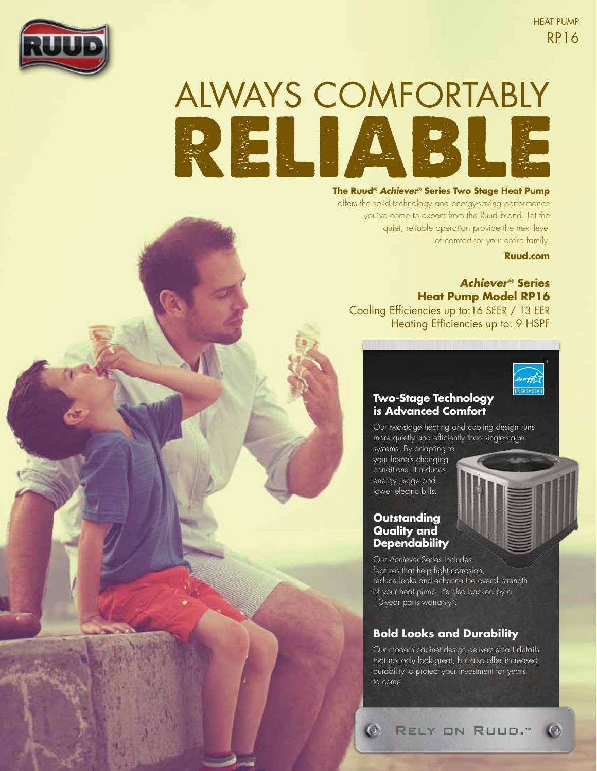

# RELI ALWAYS COMFORTABLY

**The Ruud®** *Achiever***® Series Two Stage Heat Pump**  offers the solid technology and energy-saving performance you've come to expect from the Ruud brand. Let the quiet, reliable operation provide the next level of comfort for your entire family.

**Ruud.com**

# *Achiever* **® Series Heat Pump Model RP16**

Cooling Efficiencies up to:16 SEER / 13 EER Heating Efficiencies up to: 9 HSPF



#### **Two-Stage Technology is Advanced Comfort**

Our two-stage heating and cooling design runs more quietly and efficiently than single-stage systems. By adapting to

your home's changing conditions, it reduces energy usage and lower electric bills.

## **Outstanding Quality and Dependability**

 $\circledcirc$ 

Our *Achiever* Series includes features that help fight corrosion, reduce leaks and enhance the overall strength of your heat pump. It's also backed by a 10-year parts warranty<sup>2</sup>.

# **Bold Looks and Durability**

Our modern cabinet design delivers smart details that not only look great, but also offer increased durability to protect your investment for years to come.

**RELY ON RUUD.™**